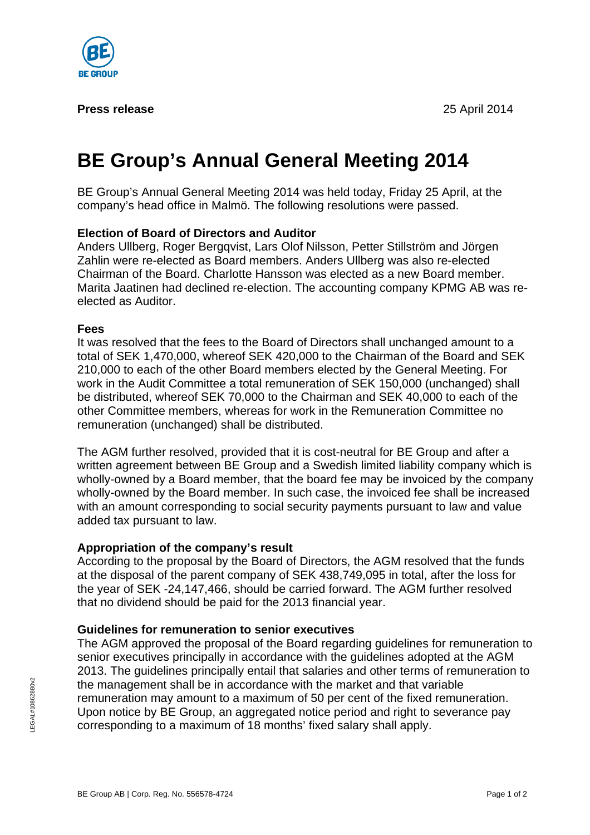

#### **Press release** 25 April 2014

# **BE Group's Annual General Meeting 2014**

BE Group's Annual General Meeting 2014 was held today, Friday 25 April, at the company's head office in Malmö. The following resolutions were passed.

# **Election of Board of Directors and Auditor**

Anders Ullberg, Roger Bergqvist, Lars Olof Nilsson, Petter Stillström and Jörgen Zahlin were re-elected as Board members. Anders Ullberg was also re-elected Chairman of the Board. Charlotte Hansson was elected as a new Board member. Marita Jaatinen had declined re-election. The accounting company KPMG AB was reelected as Auditor.

## **Fees**

It was resolved that the fees to the Board of Directors shall unchanged amount to a total of SEK 1,470,000, whereof SEK 420,000 to the Chairman of the Board and SEK 210,000 to each of the other Board members elected by the General Meeting. For work in the Audit Committee a total remuneration of SEK 150,000 (unchanged) shall be distributed, whereof SEK 70,000 to the Chairman and SEK 40,000 to each of the other Committee members, whereas for work in the Remuneration Committee no remuneration (unchanged) shall be distributed.

The AGM further resolved, provided that it is cost-neutral for BE Group and after a written agreement between BE Group and a Swedish limited liability company which is wholly-owned by a Board member, that the board fee may be invoiced by the company wholly-owned by the Board member. In such case, the invoiced fee shall be increased with an amount corresponding to social security payments pursuant to law and value added tax pursuant to law.

## **Appropriation of the company's result**

According to the proposal by the Board of Directors, the AGM resolved that the funds at the disposal of the parent company of SEK 438,749,095 in total, after the loss for the year of SEK -24,147,466, should be carried forward. The AGM further resolved that no dividend should be paid for the 2013 financial year.

## **Guidelines for remuneration to senior executives**

The AGM approved the proposal of the Board regarding guidelines for remuneration to senior executives principally in accordance with the guidelines adopted at the AGM 2013. The guidelines principally entail that salaries and other terms of remuneration to the management shall be in accordance with the market and that variable remuneration may amount to a maximum of 50 per cent of the fixed remuneration. Upon notice by BE Group, an aggregated notice period and right to severance pay corresponding to a maximum of 18 months' fixed salary shall apply.